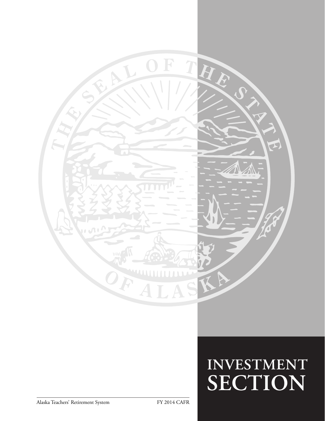

# **INVESTMENT SECTION**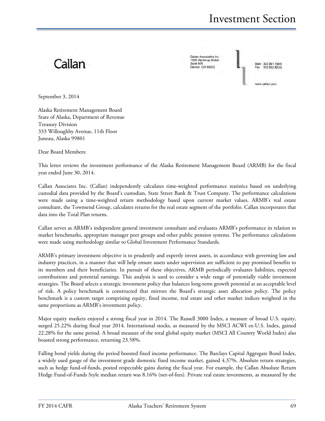## Callan

Callan Associates Inc. 1660 Wynkoop Street Suite 950 Denver, CO 80202

Main 303 861 1900

callan.com

September 3, 2014

Alaska Retirement Management Board State of Alaska, Department of Revenue Treasury Division 333 Willoughby Avenue, 11th Floor Juneau, Alaska 99801

Dear Board Members:

This letter reviews the investment performance of the Alaska Retirement Management Board (ARMB) for the fiscal year ended June 30, 2014.

Callan Associates Inc. (Callan) independently calculates time-weighted performance statistics based on underlying custodial data provided by the Board's custodian, State Street Bank & Trust Company. The performance calculations were made using a time-weighted return methodology based upon current market values. ARMB's real estate consultant, the Townsend Group, calculates returns for the real estate segment of the portfolio. Callan incorporates that data into the Total Plan returns.

Callan serves as ARMB's independent general investment consultant and evaluates ARMB's performance in relation to market benchmarks, appropriate manager peer groups and other public pension systems. The performance calculations were made using methodology similar to Global Investment Performance Standards.

ARMB's primary investment objective is to prudently and expertly invest assets, in accordance with governing law and industry practices, in a manner that will help ensure assets under supervision are sufficient to pay promised benefits to its members and their beneficiaries. In pursuit of these objectives, ARMB periodically evaluates liabilities, expected contributions and potential earnings. This analysis is used to consider a wide range of potentially viable investment strategies. The Board selects a strategic investment policy that balances long-term growth potential at an acceptable level of risk. A policy benchmark is constructed that mirrors the Board's strategic asset allocation policy. The policy benchmark is a custom target comprising equity, fixed income, real estate and other market indices weighted in the same proportions as ARMB's investment policy.

Major equity markets enjoyed a strong fiscal year in 2014. The Russell 3000 Index, a measure of broad U.S. equity, surged 25.22% during fiscal year 2014. International stocks, as measured by the MSCI ACWI ex-U.S. Index, gained 22.28% for the same period. A broad measure of the total global equity market (MSCI All Country World Index) also boasted strong performance, returning 23.58%.

Falling bond yields during the period boosted fixed income performance. The Barclays Capital Aggregate Bond Index, a widely used gauge of the investment grade domestic fixed income market, gained 4.37%. Absolute return strategies, such as hedge fund-of-funds, posted respectable gains during the fiscal year. For example, the Callan Absolute Return Hedge Fund-of-Funds Style median return was 8.16% (net-of-fees). Private real estate investments, as measured by the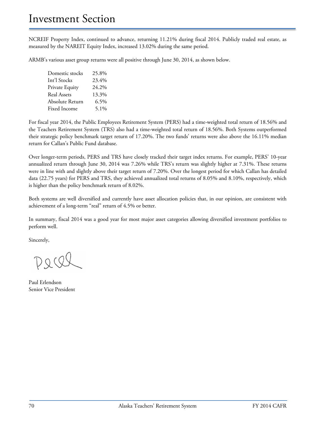NCREIF Property Index, continued to advance, returning 11.21% during fiscal 2014. Publicly traded real estate, as measured by the NAREIT Equity Index, increased 13.02% during the same period.

ARMB's various asset group returns were all positive through June 30, 2014, as shown below.

| 25.8%   |
|---------|
| 23.4%   |
| 24.2%   |
| 13.3%   |
| $6.5\%$ |
| $5.1\%$ |
|         |

For fiscal year 2014, the Public Employees Retirement System (PERS) had a time-weighted total return of 18.56% and the Teachers Retirement System (TRS) also had a time-weighted total return of 18.56%. Both Systems outperformed their strategic policy benchmark target return of 17.20%. The two funds' returns were also above the 16.11% median return for Callan's Public Fund database.

Over longer-term periods, PERS and TRS have closely tracked their target index returns. For example, PERS' 10-year annualized return through June 30, 2014 was 7.26% while TRS's return was slightly higher at 7.31%. These returns were in line with and slightly above their target return of 7.20%. Over the longest period for which Callan has detailed data (22.75 years) for PERS and TRS, they achieved annualized total returns of 8.05% and 8.10%, respectively, which is higher than the policy benchmark return of 8.02%.

Both systems are well diversified and currently have asset allocation policies that, in our opinion, are consistent with achievement of a long-term "real" return of 4.5% or better.

In summary, fiscal 2014 was a good year for most major asset categories allowing diversified investment portfolios to perform well.

Sincerely,

Paul Erlendson Senior Vice President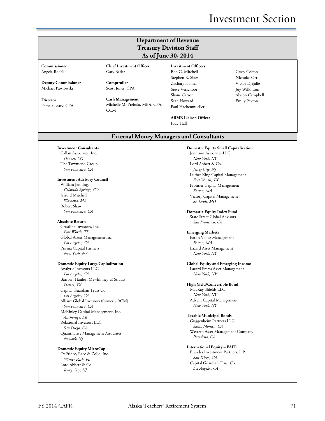## Investment Section

## **Department of Revenue Treasury Division Staff As of June 30, 2014**

**Commissioner**

Angela Rodell

**Deputy Commissioner** Michael Pawlowski

**Director** Pamela Leary, CPA **Comptroller** Scott Jones, CPA

Gary Bader

**Cash Management** Michelle M. Prebula, MBA, CPA, CCM

**Chief Investment Officer**

**Investment Officers** Bob G. Mitchell Stephen R. Sikes Zachary Hanna Steve Verschoor Shane Carson Sean Howard Paul Hackenmueller

**ARMB Liaison Officer** Judy Hall

Casey Colton Nicholas Orr Victor Djajalie Joy Wilkinson Alyson Campbell Emily Peyton

#### **External Money Managers and Consultants**

**Investment Consultants** Callan Associates, Inc.

*Denver, CO* The Townsend Group *San Francisco, CA*

#### **Investment Advisory Council**

William Jennings *Colorado Springs, CO* Jerrold Mitchell *Wayland, MA* Robert Shaw *San Francisco, CA*

#### **Absolute Return**

Crestline Investors, Inc. *Fort Worth, TX* Global Assets Management Inc. *Los Angeles, CA* Prisma Capital Partners *New York, NY*

#### **Domestic Equity Large Capitalization**

Analytic Investors LLC *Los Angeles, CA* Barrow, Hanley, Mewhinney & Strauss *Dallas, TX* Capital Guardian Trust Co. *Los Angeles, CA* Allianz Global Investors (formerly RCM) *San Francisco, CA* McKinley Capital Management, Inc. *Anchorage, AK* Relational Investors LLC *San Diego, CA* Quantitative Management Associates *Newark, NJ*

#### **Domestic Equity MicroCap**

DePrince, Race & Zollo, Inc. *Winter Park, FL* Lord Abbett & Co. *Jersey City, NJ*

**Domestic Equity Small Capitalization** Jennison Associates LLC *New York, NY* Lord Abbett & Co. *Jersey City, NJ* Luther King Capital Management *Fort Worth, TX* Frontier Capital Management *Boston, MA* Victory Capital Management *St. Louis, MO*

#### **Domestic Equity Index Fund** State Street Global Advisors

*San Francisco, CA*

#### **Emerging Markets**

Eaton Vance Management *Boston, MA* Lazard Asset Management *New York, NY*

#### **Global Equity and Emerging Income**

Lazard Freres Asset Management *New York, NY*

#### **High Yield/Convertible Bond**

MacKay Shields LLC *New York, NY* Advent Capital Management *New York, NY*

#### **Taxable Municipal Bonds**

Guggenheim Partners LLC *Santa Monica, CA* Western Asset Management Company *Pasadena, CA*

#### **International Equity – EAFE**

Brandes Investment Partners, L.P. *San Diego, CA* Capital Guardian Trust Co. *Los Angeles, CA*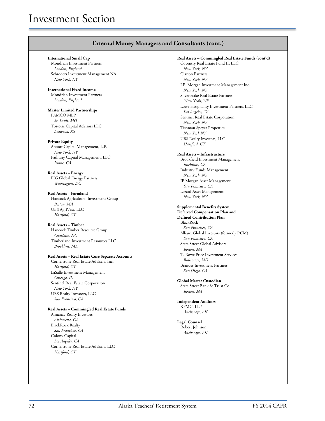### **External Money Managers and Consultants (cont.)**

#### **International Small Cap**

Mondrian Investment Partners *London, England* Schroders Investment Management NA *New York, NY*

#### **International Fixed Income** Mondrian Investment Partners

*London, England*

#### **Master Limited Partnerships**

FAMCO MLP *St. Louis, MO* Tortoise Capital Advisors LLC *Leawood, KS*

#### **Private Equity**

Abbott Capital Management, L.P. *New York, NY* Pathway Capital Management, LLC *Irvine, CA*

#### **Real Assets – Energy**

EIG Global Energy Partners *Washington, DC*

#### **Real Assets – Farmland**

Hancock Agricultural Investment Group *Boston, MA* UBS AgriVest, LLC *Hartford, CT*

#### **Real Assets – Timber**

Hancock Timber Resource Group *Charlotte, NC* Timberland Investment Resources LLC *Brookline, MA*

#### **Real Assets – Real Estate Core Separate Accounts**

Cornerstone Real Estate Advisers, Inc. *Hartford, CT* LaSalle Investment Management *Chicago, IL* Sentinel Real Estate Corporation *New York, NY* UBS Realty Investors, LLC *San Francisco, CA*

#### **Real Assets – Commingled Real Estate Funds**

Almanac Realty Investors *Alpharetta, GA* BlackRock Realty *San Francisco, CA* Colony Capital *Los Angeles, CA* Cornerstone Real Estate Advisers, LLC *Hartford, CT*

#### **Real Assets – Commingled Real Estate Funds (cont'd)** Coventry Real Estate Fund II, LLC *New York, NY* Clarion Partners *New York, NY* J.P. Morgan Investment Management Inc. *New York, NY* Silverpeake Real Estate Partners New York, NY Lowe Hospitality Investment Partners, LLC *Los Angeles, CA* Sentinel Real Estate Corporation *New York, NY* Tishman Speyer Properties *New York NY* UBS Realty Investors, LLC *Hartford, CT*

#### **Real Assets – Infrastructure**

Brookfield Investment Management *Encinitas, CA* Industry Funds Management *New York, NY* JP Morgan Asset Management *San Francisco, CA* Lazard Asset Management *New York, NY*

#### **Supplemental Benefits System,**

**Deferred Compensation Plan and Defined Contribution Plan** BlackRock *San Francisco, CA* Allianz Global Investors (formerly RCM) *San Francisco, CA* State Street Global Advisors *Boston, MA* T. Rowe Price Investment Services *Baltimore, MD* Brandes Investment Partners *San Diego, CA* 

#### **Global Master Custodian** State Street Bank & Trust Co. *Boston, MA*

**Independent Auditors** KPMG, LLP *Anchorage, AK*

#### **Legal Counsel** Robert Johnson *Anchorage, AK*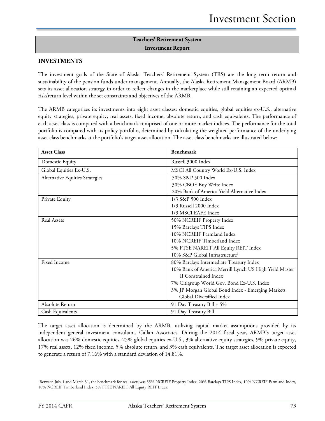## **Teachers' Retirement System Investment Report**

### **INVESTMENTS**

The investment goals of the State of Alaska Teachers' Retirement System (TRS) are the long term return and sustainability of the pension funds under management. Annually, the Alaska Retirement Management Board (ARMB) sets its asset allocation strategy in order to reflect changes in the marketplace while still retaining an expected optimal risk/return level within the set constraints and objectives of the ARMB.

The ARMB categorizes its investments into eight asset classes: domestic equities, global equities ex-U.S., alternative equity strategies, private equity, real assets, fixed income, absolute return, and cash equivalents. The performance of each asset class is compared with a benchmark comprised of one or more market indices. The performance for the total portfolio is compared with its policy portfolio, determined by calculating the weighted performance of the underlying asset class benchmarks at the portfolio's target asset allocation. The asset class benchmarks are illustrated below:

| <b>Asset Class</b>                     | <b>Benchmark</b>                                       |
|----------------------------------------|--------------------------------------------------------|
| Domestic Equity                        | Russell 3000 Index                                     |
| Global Equities Ex-U.S.                | MSCI All Country World Ex-U.S. Index                   |
| <b>Alternative Equities Strategies</b> | 50% S&P 500 Index                                      |
|                                        | 30% CBOE Buy Write Index                               |
|                                        | 20% Bank of America Yield Alternative Index            |
| Private Equity                         | 1/3 S&P 500 Index                                      |
|                                        | 1/3 Russell 2000 Index                                 |
|                                        | 1/3 MSCI EAFE Index                                    |
| Real Assets                            | 50% NCREIF Property Index                              |
|                                        | 15% Barclays TIPS Index                                |
|                                        | 10% NCREIF Farmland Index                              |
|                                        | 10% NCREIF Timberland Index                            |
|                                        | 5% FTSE NAREIT All Equity REIT Index                   |
|                                        | 10% S&P Global Infrastructure <sup>1</sup>             |
| Fixed Income                           | 80% Barclays Intermediate Treasury Index               |
|                                        | 10% Bank of America Merrill Lynch US High Yield Master |
|                                        | <b>II</b> Constrained Index                            |
|                                        | 7% Citigroup World Gov. Bond Ex-U.S. Index             |
|                                        | 3% JP Morgan Global Bond Index - Emerging Markets      |
|                                        | Global Diversified Index                               |
| Absolute Return                        | 91 Day Treasury Bill + 5%                              |
| Cash Equivalents                       | 91 Day Treasury Bill                                   |

The target asset allocation is determined by the ARMB, utilizing capital market assumptions provided by its independent general investment consultant, Callan Associates. During the 2014 fiscal year, ARMB's target asset allocation was 26% domestic equities, 25% global equities ex-U.S., 3% alternative equity strategies, 9% private equity, 17% real assets, 12% fixed income, 5% absolute return, and 3% cash equivalents. The target asset allocation is expected to generate a return of 7.16% with a standard deviation of 14.81%.

<sup>&</sup>lt;sup>1</sup>Between July 1 and March 31, the benchmark for real assets was 55% NCREIF Property Index, 20% Barclays TIPS Index, 10% NCREIF Farmland Index, 10% NCREIF Timberland Index, 5% FTSE NAREIT All Equity REIT Index.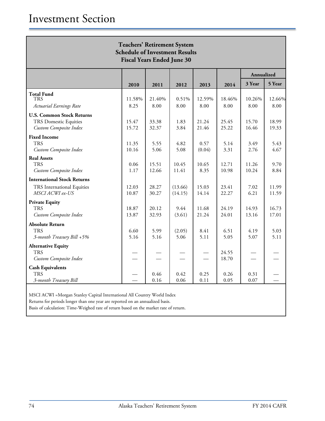| <b>Teachers' Retirement System</b><br><b>Schedule of Investment Results</b><br><b>Fiscal Years Ended June 30</b> |                |                |                    |                |                |                |                |
|------------------------------------------------------------------------------------------------------------------|----------------|----------------|--------------------|----------------|----------------|----------------|----------------|
|                                                                                                                  |                |                |                    |                |                | Annualized     |                |
|                                                                                                                  | 2010           | 2011           | 2012               | 2013           | 2014           | 3 Year         | 5 Year         |
| <b>Total Fund</b><br><b>TRS</b>                                                                                  | 11.58%         | 21.40%         | 0.51%              | 12.59%         | 18.46%         | 10.26%         | 12.66%         |
| <b>Actuarial Earnings Rate</b>                                                                                   | 8.25           | 8.00           | 8.00               | 8.00           | 8.00           | 8.00           | 8.00           |
| <b>U.S. Common Stock Returns</b><br>TRS Domestic Equities<br>Custom Composite Index                              | 15.47<br>15.72 | 33.38<br>32.37 | 1.83<br>3.84       | 21.24<br>21.46 | 25.45<br>25.22 | 15.70<br>16.46 | 18.99<br>19.33 |
| <b>Fixed Income</b><br><b>TRS</b><br>Custom Composite Index                                                      | 11.35<br>10.16 | 5.55<br>5.06   | 4.82<br>5.08       | 0.57<br>(0.04) | 5.14<br>3.31   | 3.49<br>2.76   | 5.43<br>4.67   |
| <b>Real Assets</b><br><b>TRS</b><br>Custom Composite Index                                                       | 0.06<br>1.17   | 15.51<br>12.66 | 10.45<br>11.41     | 10.65<br>8.35  | 12.71<br>10.98 | 11.26<br>10.24 | 9.70<br>8.84   |
| <b>International Stock Returns</b>                                                                               |                |                |                    |                |                |                |                |
| TRS International Equities<br>MSCI ACWI ex-US                                                                    | 12.03<br>10.87 | 28.27<br>30.27 | (13.66)<br>(14.15) | 15.03<br>14.14 | 23.41<br>22.27 | 7.02<br>6.21   | 11.99<br>11.59 |
| <b>Private Equity</b><br><b>TRS</b><br>Custom Composite Index                                                    | 18.87<br>13.87 | 20.12<br>32.93 | 9.44<br>(3.61)     | 11.68<br>21.24 | 24.19<br>24.01 | 14.93<br>13.16 | 16.73<br>17.01 |
| <b>Absolute Return</b>                                                                                           |                |                |                    |                |                |                |                |
| TRS<br>3-month Treasury Bill +5%                                                                                 | 6.60<br>5.16   | 5.99<br>5.16   | (2.05)<br>5.06     | 8.41<br>5.11   | 6.51<br>5.05   | 4.19<br>5.07   | 5.03<br>5.11   |
| <b>Alternative Equity</b><br><b>TRS</b><br>Custom Composite Index                                                |                |                |                    |                | 24.55<br>18.70 |                |                |
| <b>Cash Equivalents</b><br><b>TRS</b><br>3-month Treasury Bill                                                   |                | 0.46<br>0.16   | 0.42<br>0.06       | 0.25<br>0.11   | 0.26<br>0.05   | 0.31<br>0.07   |                |

MSCI ACWI =Morgan Stanley Capital International All Country World Index

Returns for periods longer than one year are reported on an annualized basis.

Basis of calculation: Time-Weighed rate of return based on the market rate of return.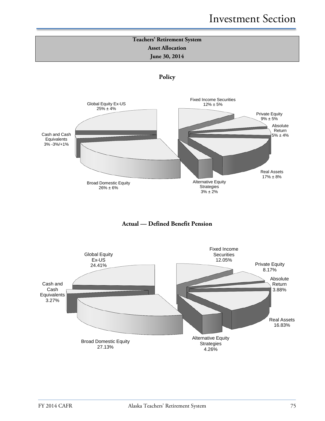## Investment Section

## **Teachers' Retirement System Asset Allocation June 30, 2014**







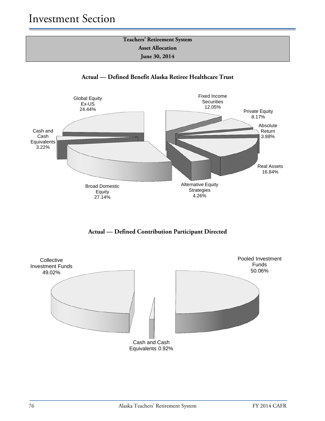





**Actual — Defined Contribution Participant Directed**

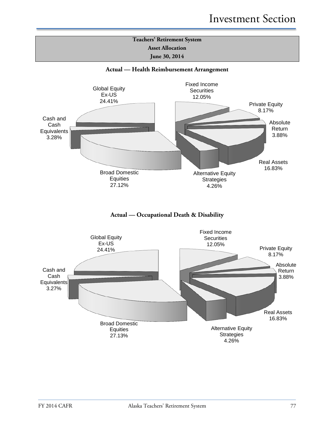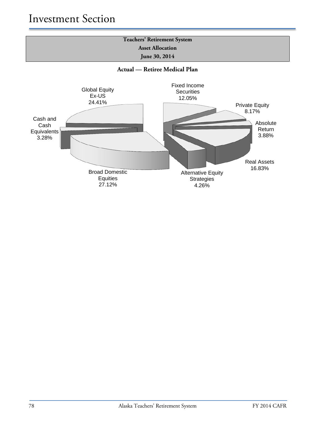Cash and Cash Equivalents 3.28%

> Broad Domestic **Equities** 27.12%



8.17%

Absolute Return 3.88%

Real Assets 16.83%

Alternative Equity Strategies 4.26%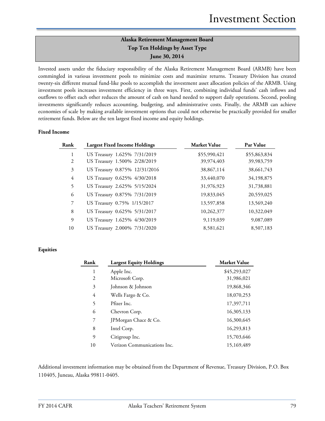## **Alaska Retirement Management Board Top Ten Holdings by Asset Type June 30, 2014**

Invested assets under the fiduciary responsibility of the Alaska Retirement Management Board (ARMB) have been commingled in various investment pools to minimize costs and maximize returns. Treasury Division has created twenty-six different mutual fund-like pools to accomplish the investment asset allocation policies of the ARMB. Using investment pools increases investment efficiency in three ways. First, combining individual funds' cash inflows and outflows to offset each other reduces the amount of cash on hand needed to support daily operations. Second, pooling investments significantly reduces accounting, budgeting, and administrative costs. Finally, the ARMB can achieve economies of scale by making available investment options that could not otherwise be practically provided for smaller retirement funds. Below are the ten largest fixed income and equity holdings.

### **Fixed Income**

| Rank           | <b>Largest Fixed Income Holdings</b> | <b>Market Value</b> | Par Value    |
|----------------|--------------------------------------|---------------------|--------------|
| 1              | US Treasury 1.625% 7/31/2019         | \$55,990,421        | \$55,863,834 |
| 2              | US Treasury 1.500% 2/28/2019         | 39,974,403          | 39,983,759   |
| 3              | US Treasury 0.875% 12/31/2016        | 38,867,114          | 38,661,743   |
| $\overline{4}$ | US Treasury 0.625% 4/30/2018         | 33,440,070          | 34,198,875   |
| 5              | US Treasury 2.625% 5/15/2024         | 31,976,923          | 31,738,881   |
| 6              | US Treasury 0.875% 7/31/2019         | 19,833,045          | 20,559,025   |
| 7              | US Treasury 0.75% 1/15/2017          | 13,597,858          | 13,569,240   |
| 8              | US Treasury 0.625% 5/31/2017         | 10,262,377          | 10,322,049   |
| 9              | US Treasury 1.625% 4/30/2019         | 9,119,039           | 9,087,089    |
| 10             | US Treasury 2.000% 7/31/2020         | 8,581,621           | 8,507,183    |

#### **Equities**

| Rank | <b>Largest Equity Holdings</b> | <b>Market Value</b> |
|------|--------------------------------|---------------------|
| 1    | Apple Inc.                     | \$45,293,027        |
| 2    | Microsoft Corp.                | 31,986,021          |
| 3    | Johnson & Johnson              | 19,868,346          |
| 4    | Wells Fargo & Co.              | 18,070,253          |
| 5    | Pfizer Inc.                    | 17,397,711          |
| 6    | Chevron Corp.                  | 16,305,133          |
| 7    | JPMorgan Chace & Co.           | 16,300,645          |
| 8    | Intel Corp.                    | 16,293,813          |
| 9    | Citigroup Inc.                 | 15,703,646          |
| 10   | Verizon Communications Inc.    | 15,169,489          |

Additional investment information may be obtained from the Department of Revenue, Treasury Division, P.O. Box 110405, Juneau, Alaska 99811-0405.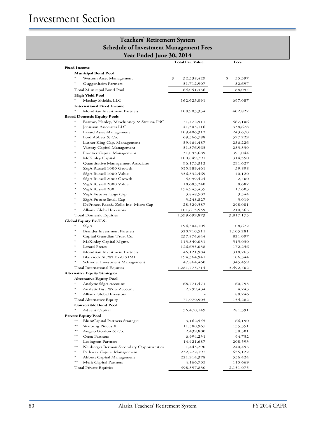## **Teachers' Retirement System Schedule of Investment Management Fees Year Ended June 30, 2014**

|                                               | <b>Total Fair Value</b> | Fees         |
|-----------------------------------------------|-------------------------|--------------|
| <b>Fixed Income</b>                           |                         |              |
| <b>Municipal Bond Pool</b>                    |                         |              |
| Western Asset Management                      | \$<br>32,338,429        | \$<br>55,397 |
| Guggenheim Partners                           | 31,712,907              | 32,697       |
| Total Municipal Bond Pool                     | 64,051,336              | 88,094       |
| <b>High Yield Pool</b>                        |                         |              |
| Mackay Shields, LLC                           | 162,623,091             | 697,087      |
| <b>International Fixed Income</b>             |                         |              |
| Mondrian Investment Partners                  | 108,903,334             | 402,822      |
| <b>Broad Domestic Equity Pools</b>            |                         |              |
| ∗<br>Barrow, Hanley, Mewhinney & Strauss, INC | 71,472,911              | 567,106      |
| ∗<br>Jennison Associates LLC                  | 41,503,116              | 338,678      |
| Lazard Asset Management                       | 109,406,312             | 243,670      |
| Lord Abbett & Co.                             | 69,566,788              | 577,229      |
| ж<br>Luther King Cap. Management              | 39,464,487              | 236,226      |
| ж<br>Victory Capital Management               | 31,876,963              | 233,330      |
| ∗<br>Frontier Capital Management              | 31,095,689              | 391,044      |
| McKinley Capital                              | 100,849,791             | 314,550      |
| Quantitative Management Associates            | 96,173,312              | 291,627      |
| SSgA Russell 1000 Growth                      | 355,989,461             | 39,898       |
| SSgA Russell 1000 Value                       | 336,332,469             | 40,120       |
| SSgA Russell 2000 Growth                      | 5,099,424               | 2,400        |
| SSgA Russell 2000 Value                       | 18,683,240              | 8,687        |
| SSgA Russell 200                              | 154,943,435             | 17,603       |
| SSgA Futures Large Cap                        | 3,848,502               | 3,544        |
| SSgA Future Small Cap                         | 3,248,827               | 3,019        |
| ∗<br>DePrince, Race& Zollo Inc.-Micro Cap     | 28,529,587              | 298,081      |
| Allianz Global Investors                      | 101,615,559             | 210,363      |
| <b>Total Domestic Equities</b>                | 1,599,699,873           | 3,817,175    |
| Global Equity Ex-U.S.                         |                         |              |
| ∗<br>SSgA                                     | 194,304,105             | 108,672      |
| ж<br><b>Brandes Investment Partners</b>       | 320,710,511             | 1,105,281    |
| Capital Guardian Trust Co.                    | 237,874,644             | 821,097      |
| McKinley Capital Mgmt.                        | 113,840,031             | 515,030      |
| <b>Lazard Freres</b>                          | 126,695,038             | 172,256      |
| Mondrian Investment Partners                  | 46,121,984              | 318,263      |
| ×<br>Blackrock ACWI Ex-US IMI                 | 194,364,941             | 106,344      |
| Schroder Investment Management                | 47,864,460              | 345,459      |
| Total International Equities                  | 1,281,775,714           | 3,492,402    |
| <b>Alternative Equity Strategies</b>          |                         |              |
| <b>Alternative Equity Pool</b>                |                         |              |
| Analytic SSgA Account                         | 68,771,471              | 60,793       |
| Analytic Buy Write Account                    | 2,299,434               | 4,743        |
| *<br>Allianz Global Investors                 |                         | 88,746       |
| Total Alternative Equity                      | 71,070,905              | 154,282      |
| <b>Convertible Bond Pool</b>                  |                         |              |
| Advent Capital                                | 56,470,149              | 281,391      |
| <b>Private Equity Pool</b>                    |                         |              |
| **<br>BlumCapital Partners-Strategic          | 3,162,545               | 66,190       |
| **<br>Warburg Pincus X                        | 11,580,967              | 155,351      |
| **<br>Angelo Gordon & Co.                     | 2,439,800               | 58,501       |
| **<br>Onex Partners                           | 6,994,231               | 94,732       |
| **<br>Lexington Partners<br>**                | 14,421,687              | 208,593      |
| Neuberger Berman Secondary Opportunities<br>* | 1,445,290               | 240,493      |
| Pathway Capital Management<br>*               | 232,272,197             | 655,122      |
| Abbott Capital Management<br>$**$             | 221,914,378             | 556,424      |
| Merit Capital Partners                        | 4,166,735               | 115,669      |
| Total Private Equities                        | 498,397,830             | 2,151,075    |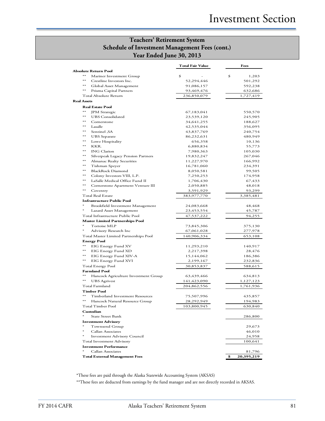## **Teachers' Retirement System Schedule of Investment Management Fees (cont.) Year Ended June 30, 2013**

|                                                                   | <b>Total Fair Value</b> | Fees                |
|-------------------------------------------------------------------|-------------------------|---------------------|
| <b>Absolute Return Pool</b>                                       |                         |                     |
| $^{**}$<br>Mariner Investment Group                               | \$                      | \$<br>1,203         |
| $**$<br>Crestline Investors Inc.                                  | 52,294,446              | 501,292             |
| $***$<br>Global Asset Management                                  | 91,086,157              | 592,238             |
| $***$<br>Prisma Capital Partners                                  | 93,469,476              | 632,686             |
| Total Absolute Return                                             | 236,850,079             | 1,727,419           |
| <b>Real Assets</b>                                                |                         |                     |
| <b>Real Estate Pool</b>                                           |                         |                     |
| $**$<br><b>JPM</b> Strategic                                      | 67,183,041              | 550,570             |
| $**$<br><b>UBS</b> Consolidated                                   | 23,539,120              | 245,905             |
| $***$<br>Cornerstone                                              | 34,641,255              | 188,627             |
| $***$<br>Lasalle                                                  | 42,535,044              | 356,095             |
| $***$<br>Sentinel , SA                                            | 43,837,769              | 240,754             |
| $***$<br><b>UBS</b> Separate                                      | 86,232,631              | 480,949             |
| $***$<br>Lowe Hospitality                                         | 656,358                 | 10,136              |
| $***$<br>KKR.                                                     | 6,880,834               | 55,773              |
| $***$<br><b>ING Clarion</b>                                       | 7,980,363               | 105,030             |
| $***$<br>Silverpeak Legacy Pension Partners<br>$**$               | 19,832,247              | 267,046             |
| Almanac Realty Securities                                         | 11,227,970              | 166,992             |
| $***$<br>Tishman Speyer<br>$***$                                  | 16,781,060              | 234,391             |
| <b>BlackRock Diamond</b><br>$***$                                 | 8,050,581               | 99,505              |
| Colony Investors VIII, L.P.<br>$***$                              | 7,250,253               | 174,958             |
| LaSalle Medical Office Fund II<br>$***$                           | 1,706,430               | 67,433              |
| Cornerstone Apartment Venture III<br>$**$                         | 2,050,885<br>3,591,929  | 48,018              |
| Coventry<br>Total Real Estate                                     | 383,977,770             | 93,299<br>3,385,481 |
| <b>Infrastructure Public Pool</b>                                 |                         |                     |
| Brookfield Investment Management                                  | 24,083,668              | 48,468              |
| $\ast$<br>Lazard Asset Management                                 | 23,453,554              | 45,787              |
| Total Infrastructure Public Pool                                  | 47,537,222              | 94,255              |
|                                                                   |                         |                     |
| <b>Master Limited Partnerships Pool</b><br>$\ast$<br>Tortoise MLP | 73,845,306              | 375,130             |
| Advisory Research Inc                                             | 67,061,028              | 277,978             |
| Total Master Limited Partnerships Pool                            | 140,906,334             | 653,108             |
| <b>Energy Pool</b>                                                |                         |                     |
| $***$<br>EIG Energy Fund XV                                       | 11,293,210              | 140,917             |
| $***$<br>EIG Energy Fund XD                                       | 2,217,398               | 28,476              |
| $**$<br>EIG Energy Fund XIV-A                                     | 15,144,062              | 186,386             |
| $***$<br>EIG Energy Fund XVI                                      | 2,199,167               | 232,836             |
| Total Energy Pool                                                 | 30,853,837              | 588,615             |
| <b>Farmland Pool</b>                                              |                         |                     |
| $***$<br>Hancock Agriculture Investment Group                     | 63,439,466              | 634,813             |
| $***$<br><b>UBS</b> Agrivest                                      | 141,423,090             | 1,127,123           |
| Total Farmland                                                    | 204,862,556             | 1,761,936           |
| <b>Timber Pool</b>                                                |                         |                     |
| $**$<br>Timberland Investment Resources                           | 75,507,996              | 435,857             |
| Hancock Natural Resource Group                                    | 28,292,949              | 194,983             |
| Total Timber Pool                                                 | 103,800,945             | 630,840             |
| Custodian                                                         |                         |                     |
| $\ast$<br><b>State Street Bank</b>                                |                         | 286,800             |
| <b>Investment Advisory</b>                                        |                         |                     |
| $\ast$<br>Townsend Group                                          |                         | 29,673              |
| $\ast$<br>Callan Associates                                       |                         | 46,010              |
| $\ast$<br><b>Investment Advisory Council</b>                      |                         | 24,958              |
| Total Investment Advisory                                         |                         | 100,641             |
| <b>Investment Performance</b>                                     |                         |                     |
| Callan Associates                                                 |                         | 81,796              |
| <b>Total External Management Fees</b>                             |                         | \$<br>20,395,219    |

\*These fees are paid through the Alaska Statewide Accounting System (AKSAS)

\*\*These fees are deducted from earnings by the fund manager and are not directly recorded in AKSAS.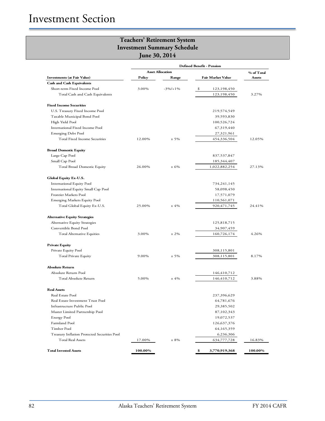|                                              | <b>Defined Benefit - Pension</b> |                         |                          |               |
|----------------------------------------------|----------------------------------|-------------------------|--------------------------|---------------|
|                                              |                                  | <b>Asset Allocation</b> |                          | % of Total    |
| <b>Investments (at Fair Value)</b>           | Policy                           | Range                   | <b>Fair Market Value</b> | <b>Assets</b> |
| <b>Cash and Cash Equivalents</b>             |                                  |                         |                          |               |
| Short-term Fixed Income Pool                 | 3.00%                            | $-3\%/+1\%$             | \$<br>123,198,450        |               |
| Total Cash and Cash Equivalents              |                                  |                         | 123,198,450              | 3.27%         |
| <b>Fixed Income Securities</b>               |                                  |                         |                          |               |
| U.S. Treasury Fixed Income Pool              |                                  |                         | 219,574,549              |               |
| Taxable Municipal Bond Pool                  |                                  |                         | 39,593,830               |               |
| High Yield Pool                              |                                  |                         | 100,526,724              |               |
| International Fixed Income Pool              |                                  |                         | 67,319,440               |               |
| Emerging Debt Pool                           |                                  |                         | 27,321,961               |               |
| Total Fixed Income Securities                | 12.00%                           | $± 5\%$                 | 454,336,504              | 12.05%        |
| <b>Broad Domestic Equity</b>                 |                                  |                         |                          |               |
| Large Cap Pool                               |                                  |                         | 837, 537, 847            |               |
| Small Cap Pool                               |                                  |                         | 185,344,407              |               |
| <b>Total Broad Domestic Equity</b>           | 26.00%                           | ± 6%                    | 1,022,882,254            | 27.13%        |
| Global Equity Ex-U.S.                        |                                  |                         |                          |               |
| <b>International Equity Pool</b>             |                                  |                         | 734,241,145              |               |
| International Equity Small Cap Pool          |                                  |                         | 58,098,450               |               |
| Frontier Markets Pool                        |                                  |                         | 17,571,079               |               |
| <b>Emerging Markets Equity Pool</b>          |                                  |                         | 110,561,071              |               |
| Total Global Equity Ex-U.S.                  | 25.00%                           | $±4\%$                  | 920, 471, 745            | 24.41%        |
| <b>Alternative Equity Strategies</b>         |                                  |                         |                          |               |
| Alternative Equity Strategies                |                                  |                         | 125,818,715              |               |
| Convertible Bond Pool                        |                                  |                         | 34,907,459               |               |
| <b>Total Alternative Equities</b>            | 3.00%                            | $± 2\%$                 | 160,726,174              | 4.26%         |
| <b>Private Equity</b>                        |                                  |                         |                          |               |
| Private Equity Pool                          |                                  |                         | 308,115,801              |               |
| Total Private Equity                         | 9.00%                            | $± 5\%$                 | 308,115,801              | 8.17%         |
| <b>Absolute Return</b>                       |                                  |                         |                          |               |
| Absolute Return Pool                         |                                  |                         | 146,410,712              |               |
| Total Absolute Return                        | 5.00%                            | $±4\%$                  | 146,410,712              | 3.88%         |
| <b>Real Assets</b>                           |                                  |                         |                          |               |
| Real Estate Pool                             |                                  |                         | 237,396,629              |               |
| Real Estate Investment Trust Pool            |                                  |                         | 64,781,676               |               |
| Infrastructure Public Pool                   |                                  |                         | 29,385,502               |               |
| Master Limited Partnership Pool              |                                  |                         | 87,102,343               |               |
| <b>Energy Pool</b>                           |                                  |                         | 19,072,537               |               |
| Farmland Pool                                |                                  |                         | 126, 637, 376            |               |
| Timber Pool                                  |                                  |                         | 64,165,359               |               |
| Treasury Inflation Protected Securities Pool |                                  |                         | 6,236,306                |               |
| Total Real Assets                            | 17.00%                           | $± 8\%$                 | 634,777,728              | 16.83%        |
| <b>Total Invested Assets</b>                 | 100.00%                          |                         | \$<br>3,770,919,368      | 100.00%       |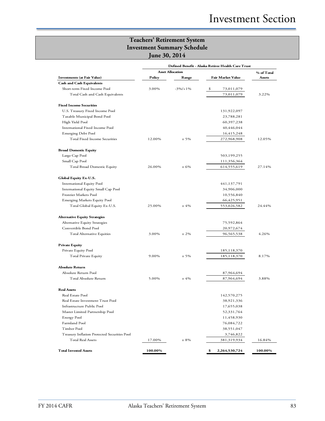|                                              | Defined Benefit - Alaska Retiree Health Care Trust |                         |                          |            |  |
|----------------------------------------------|----------------------------------------------------|-------------------------|--------------------------|------------|--|
|                                              |                                                    | <b>Asset Allocation</b> |                          | % of Total |  |
| <b>Investments (at Fair Value)</b>           | Policy                                             | Range                   | <b>Fair Market Value</b> | Assets     |  |
| <b>Cash and Cash Equivalents</b>             |                                                    |                         |                          |            |  |
| Short-term Fixed Income Pool                 | 3.00%                                              | $-3\%/+1\%$             | \$<br>73,011,079         |            |  |
| Total Cash and Cash Equivalents              |                                                    |                         | 73,011,079               | 3.22%      |  |
| <b>Fixed Income Securities</b>               |                                                    |                         |                          |            |  |
| U.S. Treasury Fixed Income Pool              |                                                    |                         | 131,922,097              |            |  |
| Taxable Municipal Bond Pool                  |                                                    |                         | 23,788,281               |            |  |
| High Yield Pool                              |                                                    |                         | 60,397,238               |            |  |
| International Fixed Income Pool              |                                                    |                         | 40,446,044               |            |  |
| <b>Emerging Debt Pool</b>                    |                                                    |                         | 16,415,248               |            |  |
| Total Fixed Income Securities                | 12.00%                                             | $± 5\%$                 | 272,968,908              | 12.05%     |  |
| <b>Broad Domestic Equity</b>                 |                                                    |                         |                          |            |  |
| Large Cap Pool                               |                                                    |                         | 503,199,255              |            |  |
| Small Cap Pool                               |                                                    |                         | 111,356,364              |            |  |
| <b>Total Broad Domestic Equity</b>           | 26.00%                                             | ± 6%                    | 614,555,619              | 27.14%     |  |
| Global Equity Ex-U.S.                        |                                                    |                         |                          |            |  |
| International Equity Pool                    |                                                    |                         | 441,137,791              |            |  |
| International Equity Small Cap Pool          |                                                    |                         | 34,906,000               |            |  |
| Frontier Markets Pool                        |                                                    |                         | 10,556,840               |            |  |
| <b>Emerging Markets Equity Pool</b>          |                                                    |                         | 66,425,951               |            |  |
| Total Global Equity Ex-U.S.                  | 25.00%                                             | ±4%                     | 553,026,582              | 24.44%     |  |
| <b>Alternative Equity Strategies</b>         |                                                    |                         |                          |            |  |
| Alternative Equity Strategies                |                                                    |                         | 75,592,864               |            |  |
| Convertible Bond Pool                        |                                                    |                         | 20,972,674               |            |  |
| <b>Total Alternative Equities</b>            | 3.00%                                              | $± 2\%$                 | 96,565,538               | 4.26%      |  |
| <b>Private Equity</b>                        |                                                    |                         |                          |            |  |
| Private Equity Pool                          |                                                    |                         | 185, 118, 370            |            |  |
| Total Private Equity                         | 9.00%                                              | $± 5\%$                 | 185, 118, 370            | 8.17%      |  |
| <b>Absolute Return</b>                       |                                                    |                         |                          |            |  |
| Absolute Return Pool                         |                                                    |                         | 87,964,694               |            |  |
| Total Absolute Return                        | 5.00%                                              | ±4%                     | 87,964,694               | 3.88%      |  |
| <b>Real Assets</b>                           |                                                    |                         |                          |            |  |
| Real Estate Pool                             |                                                    |                         | 142,570,275              |            |  |
| Real Estate Investment Trust Pool            |                                                    |                         | 38,921,336               |            |  |
| Infrastructure Public Pool                   |                                                    |                         | 17,655,038               |            |  |
| Master Limited Partnership Pool              |                                                    |                         | 52,331,764               |            |  |
| <b>Energy Pool</b>                           |                                                    |                         | 11,458,930               |            |  |
| Farmland Pool                                |                                                    |                         | 76,084,722               |            |  |
| Timber Pool                                  |                                                    |                         | 38,551,047               |            |  |
| Treasury Inflation Protected Securities Pool |                                                    |                         | 3,746,822                |            |  |
| <b>Total Real Assets</b>                     | 17.00%                                             | $± 8\%$                 | 381,319,934              | 16.84%     |  |
| <b>Total Invested Assets</b>                 | 100.00%                                            |                         | \$<br>2,264,530,724      | 100.00%    |  |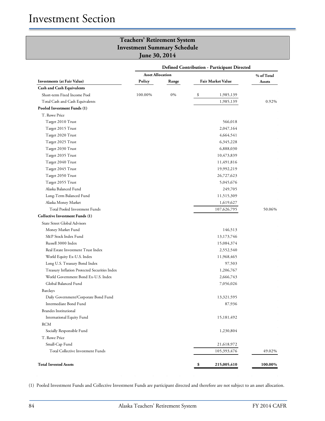|                                               |                         |       | <b>Defined Contribution - Participant Directed</b> |            |
|-----------------------------------------------|-------------------------|-------|----------------------------------------------------|------------|
|                                               | <b>Asset Allocation</b> |       |                                                    | % of Total |
| <b>Investments</b> (at Fair Value)            | Policy                  | Range | <b>Fair Market Value</b>                           | Assets     |
| <b>Cash and Cash Equivalents</b>              |                         |       |                                                    |            |
| Short-term Fixed Income Pool                  | 100.00%                 | 0%    | \$<br>1,985,139                                    |            |
| Total Cash and Cash Equivalents               |                         |       | 1,985,139                                          | 0.92%      |
| Pooled Investment Funds (1)                   |                         |       |                                                    |            |
| T. Rowe Price                                 |                         |       |                                                    |            |
| Target 2010 Trust                             |                         |       | 566,018                                            |            |
| Target 2015 Trust                             |                         |       | 2,047,164                                          |            |
| Target 2020 Trust                             |                         |       | 4,664,541                                          |            |
| Target 2025 Trust                             |                         |       | 6,345,228                                          |            |
| Target 2030 Trust                             |                         |       | 6,888,030                                          |            |
| Target 2035 Trust                             |                         |       | 10,473,839                                         |            |
| Target 2040 Trust                             |                         |       | 11,491,816                                         |            |
| Target 2045 Trust                             |                         |       | 19,992,219                                         |            |
| Target 2050 Trust                             |                         |       | 26,727,623                                         |            |
| Target 2055 Trust                             |                         |       | 5,045,676                                          |            |
| Alaska Balanced Fund                          |                         |       | 249,705                                            |            |
| Long-Term Balanced Fund                       |                         |       | 11,515,309                                         |            |
| Alaska Money Market                           |                         |       | 1,619,627                                          |            |
| Total Pooled Investment Funds                 |                         |       | 107,626,795                                        | 50.06%     |
| <b>Collective Investment Funds (1)</b>        |                         |       |                                                    |            |
| <b>State Street Global Advisors</b>           |                         |       |                                                    |            |
| Money Market Fund                             |                         |       | 146,513                                            |            |
| S&P Stock Index Fund                          |                         |       | 13,173,746                                         |            |
| Russell 3000 Index                            |                         |       | 15,084,374                                         |            |
| Real Estate Investment Trust Index            |                         |       | 2,552,540                                          |            |
| World Equity Ex-U.S. Index                    |                         |       | 11,968,465                                         |            |
| Long U.S. Treasury Bond Index                 |                         |       | 97,503                                             |            |
| Treasury Inflation Protected Securities Index |                         |       | 1,206,767                                          |            |
| World Government Bond Ex-U.S. Index           |                         |       | 2,666,743                                          |            |
| Global Balanced Fund                          |                         |       | 7,056,026                                          |            |
| <b>Barclays</b>                               |                         |       |                                                    |            |
| Daily Government/Corporate Bond Fund          |                         |       | 13,321,595                                         |            |
| Intermediate Bond Fund                        |                         |       | 87,936                                             |            |
| <b>Brandes Institutional</b>                  |                         |       |                                                    |            |
| International Equity Fund                     |                         |       | 15,181,492                                         |            |
| <b>RCM</b>                                    |                         |       |                                                    |            |
| Socially Responsible Fund                     |                         |       | 1,230,804                                          |            |
| T. Rowe Price                                 |                         |       |                                                    |            |
| Small-Cap Fund                                |                         |       | 21,618,972                                         |            |
| Total Collective Investment Funds             |                         |       | 105,393,476                                        | 49.02%     |
| <b>Total Invested Assets</b>                  |                         |       | \$<br>215,005,410                                  | 100.00%    |

(1) Pooled Investment Funds and Collective Investment Funds are participant directed and therefore are not subject to an asset allocation.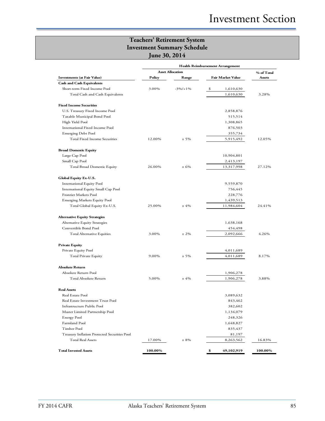|                                              | <b>Health Reimbursement Arrangement</b> |                         |                          |            |
|----------------------------------------------|-----------------------------------------|-------------------------|--------------------------|------------|
|                                              |                                         | <b>Asset Allocation</b> |                          | % of Total |
| <b>Investments (at Fair Value)</b>           | Policy                                  | Range                   | <b>Fair Market Value</b> | Assets     |
| <b>Cash and Cash Equivalents</b>             |                                         |                         |                          |            |
| Short-term Fixed Income Pool                 | 3.00%                                   | $-3\%/+1\%$             | \$<br>1,610,630          |            |
| Total Cash and Cash Equivalents              |                                         |                         | 1,610,630                | 3.28%      |
| <b>Fixed Income Securities</b>               |                                         |                         |                          |            |
| U.S. Treasury Fixed Income Pool              |                                         |                         | 2,858,876                |            |
| Taxable Municipal Bond Pool                  |                                         |                         | 515,514                  |            |
| High Yield Pool                              |                                         |                         | 1,308,865                |            |
| International Fixed Income Pool              |                                         |                         | 876,503                  |            |
| Emerging Debt Pool                           |                                         |                         | 355,734                  |            |
| Total Fixed Income Securities                | 12.00%                                  | $± 5\%$                 | 5,915,492                | 12.05%     |
| <b>Broad Domestic Equity</b>                 |                                         |                         |                          |            |
| Large Cap Pool                               |                                         |                         | 10,904,801               |            |
| Small Cap Pool                               |                                         |                         | 2,413,197                |            |
| Total Broad Domestic Equity                  | 26.00%                                  | ± 6%                    | 13,317,998               | 27.12%     |
| Global Equity Ex-U.S.                        |                                         |                         |                          |            |
| International Equity Pool                    |                                         |                         | 9,559,870                |            |
| International Equity Small Cap Pool          |                                         |                         | 756,445                  |            |
| Frontier Markets Pool                        |                                         |                         | 228,776                  |            |
| <b>Emerging Markets Equity Pool</b>          |                                         |                         | 1,439,513                |            |
| Total Global Equity Ex-U.S.                  | 25.00%                                  | ±4%                     | 11,984,604               | 24.41%     |
| <b>Alternative Equity Strategies</b>         |                                         |                         |                          |            |
| Alternative Equity Strategies                |                                         |                         | 1,638,168                |            |
| Convertible Bond Pool                        |                                         |                         | 454,498                  |            |
| Total Alternative Equities                   | 3.00%                                   | $± 2\%$                 | 2,092,666                | 4.26%      |
| <b>Private Equity</b>                        |                                         |                         |                          |            |
| Private Equity Pool                          |                                         |                         | 4,011,689                |            |
| Total Private Equity                         | 9.00%                                   | $± 5\%$                 | 4,011,689                | 8.17%      |
| <b>Absolute Return</b>                       |                                         |                         |                          |            |
| Absolute Return Pool                         |                                         |                         | 1,906,278                |            |
| Total Absolute Return                        | 5.00%                                   | ±4%                     | 1,906,278                | 3.88%      |
| <b>Real Assets</b>                           |                                         |                         |                          |            |
| Real Estate Pool                             |                                         |                         | 3,089,632                |            |
| Real Estate Investment Trust Pool            |                                         |                         | 843,462                  |            |
| Infrastructure Public Pool                   |                                         |                         | 382,602                  |            |
| Master Limited Partnership Pool              |                                         |                         | 1,134,079                |            |
| <b>Energy Pool</b>                           |                                         |                         | 248,326                  |            |
| Farmland Pool                                |                                         |                         | 1,648,827                |            |
| Timber Pool                                  |                                         |                         | 835,437                  |            |
| Treasury Inflation Protected Securities Pool |                                         |                         | 81,197                   |            |
| Total Real Assets                            | 17.00%                                  | $± 8\%$                 | 8,263,562                | 16.83%     |
| <b>Total Invested Assets</b>                 | 100.00%                                 |                         | \$<br>49,102,919         | 100.00%    |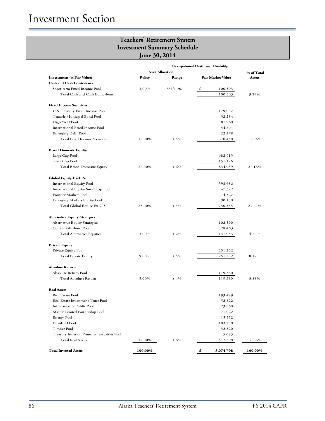|                                              | <b>Occupational Death and Disability</b> |                         |                          |            |
|----------------------------------------------|------------------------------------------|-------------------------|--------------------------|------------|
|                                              |                                          | <b>Asset Allocation</b> |                          | % of Total |
| <b>Investments (at Fair Value)</b>           | Policy                                   | Range                   | <b>Fair Market Value</b> | Assets     |
| <b>Cash and Cash Equivalents</b>             |                                          |                         |                          |            |
| Short-term Fixed Income Pool                 | 3.00%                                    | $-3\%/+1\%$             | \$<br>100,503            |            |
| Total Cash and Cash Equivalents              |                                          |                         | 100,503                  | 3.27%      |
|                                              |                                          |                         |                          |            |
| <b>Fixed Income Securities</b>               |                                          |                         |                          |            |
| U.S. Treasury Fixed Income Pool              |                                          |                         | 179,037                  |            |
| Taxable Municipal Bond Pool                  |                                          |                         | 32,284                   |            |
| High Yield Pool                              |                                          |                         | 81,968                   |            |
| International Fixed Income Pool              |                                          |                         | 54,891                   |            |
| Emerging Debt Pool                           |                                          |                         | 22,278                   |            |
| Total Fixed Income Securities                | 12.00%                                   | $± 5\%$                 | 370,458                  | 12.05%     |
| <b>Broad Domestic Equity</b>                 |                                          |                         |                          |            |
| Large Cap Pool                               |                                          |                         | 682,913                  |            |
| Small Cap Pool                               |                                          |                         | 151,126                  |            |
| Total Broad Domestic Equity                  | 26.00%                                   | ± 6%                    | 834,039                  | 27.13%     |
|                                              |                                          |                         |                          |            |
| Global Equity Ex-U.S.                        |                                          |                         |                          |            |
| International Equity Pool                    |                                          |                         | 598,686                  |            |
| International Equity Small Cap Pool          |                                          |                         | 47,372                   |            |
| <b>Frontier Markets Pool</b>                 |                                          |                         | 14,327                   |            |
| <b>Emerging Markets Equity Pool</b>          |                                          |                         | 90,150                   |            |
| Total Global Equity Ex-U.S.                  | 25.00%                                   | ±4%                     | 750,535                  | 24.41%     |
| <b>Alternative Equity Strategies</b>         |                                          |                         |                          |            |
| Alternative Equity Strategies                |                                          |                         | 102,590                  |            |
| Convertible Bond Pool                        |                                          |                         | 28,463                   |            |
| Total Alternative Equities                   | 3.00%                                    | $± 2\%$                 | 131,053                  | 4.26%      |
|                                              |                                          |                         |                          |            |
| <b>Private Equity</b>                        |                                          |                         |                          |            |
| Private Equity Pool                          |                                          |                         | 251,232                  |            |
| Total Private Equity                         | 9.00%                                    | $± 5\%$                 | 251,232                  | 8.17%      |
| <b>Absolute Return</b>                       |                                          |                         |                          |            |
| Absolute Return Pool                         |                                          |                         | 119,380                  |            |
| Total Absolute Return                        | 5.00%                                    | ±4%                     | 119,380                  | 3.88%      |
| <b>Real Assets</b>                           |                                          |                         |                          |            |
| Real Estate Pool                             |                                          |                         | 193,489                  |            |
| Real Estate Investment Trust Pool            |                                          |                         | 52,822                   |            |
| Infrastructure Public Pool                   |                                          |                         | 23,960                   |            |
| Master Limited Partnership Pool              |                                          |                         | 71,022                   |            |
| <b>Energy Pool</b>                           |                                          |                         | 15,552                   |            |
| Farmland Pool                                |                                          |                         | 103,258                  |            |
| Timber Pool                                  |                                          |                         | 52,320                   |            |
| Treasury Inflation Protected Securities Pool |                                          |                         | 5,085                    |            |
| <b>Total Real Assets</b>                     | 17.00%                                   | $± 8\%$                 | 517,508                  | 16.83%     |
|                                              |                                          |                         |                          |            |
| <b>Total Invested Assets</b>                 | 100.00%                                  |                         | \$<br>3,074,708          | 100.00%    |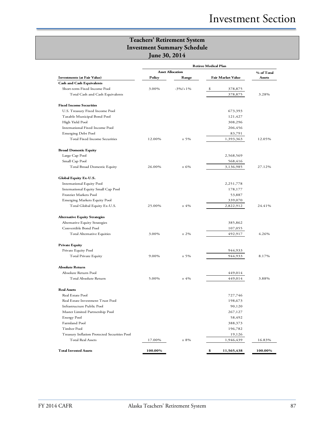|                                              |         | <b>Asset Allocation</b> |                          | % of Total |
|----------------------------------------------|---------|-------------------------|--------------------------|------------|
| <b>Investments (at Fair Value)</b>           | Policy  | Range                   | <b>Fair Market Value</b> | Assets     |
| <b>Cash and Cash Equivalents</b>             |         |                         |                          |            |
| Short-term Fixed Income Pool                 | 3.00%   | $-3\%/+1\%$             | \$<br>378,875            |            |
| Total Cash and Cash Equivalents              |         |                         | 378,875                  | 3.28%      |
| <b>Fixed Income Securities</b>               |         |                         |                          |            |
| U.S. Treasury Fixed Income Pool              |         |                         | 673,393                  |            |
| Taxable Municipal Bond Pool                  |         |                         | 121,427                  |            |
| High Yield Pool                              |         |                         | 308,296                  |            |
| International Fixed Income Pool              |         |                         | 206,456                  |            |
| Emerging Debt Pool                           |         |                         | 83,791                   |            |
| Total Fixed Income Securities                | 12.00%  | $± 5\%$                 | 1,393,363                | 12.05%     |
| <b>Broad Domestic Equity</b>                 |         |                         |                          |            |
| Large Cap Pool                               |         |                         | 2,568,569                |            |
| Small Cap Pool                               |         |                         | 568,416                  |            |
| Total Broad Domestic Equity                  | 26.00%  | ± 6%                    | 3,136,985                | 27.12%     |
| Global Equity Ex-U.S.                        |         |                         |                          |            |
| <b>International Equity Pool</b>             |         |                         | 2,251,778                |            |
| International Equity Small Cap Pool          |         |                         | 178,177                  |            |
| Frontier Markets Pool                        |         |                         | 53,887                   |            |
| <b>Emerging Markets Equity Pool</b>          |         |                         | 339,070                  |            |
| Total Global Equity Ex-U.S.                  | 25.00%  | ±4%                     | 2,822,912                | 24.41%     |
| <b>Alternative Equity Strategies</b>         |         |                         |                          |            |
| Alternative Equity Strategies                |         |                         | 385,862                  |            |
| Convertible Bond Pool                        |         |                         | 107,055                  |            |
| Total Alternative Equities                   | 3.00%   | $± 2\%$                 | 492,917                  | 4.26%      |
| <b>Private Equity</b>                        |         |                         |                          |            |
| Private Equity Pool                          |         |                         | 944,933                  |            |
| Total Private Equity                         | 9.00%   | $± 5\%$                 | 944,933                  | 8.17%      |
| <b>Absolute Return</b>                       |         |                         |                          |            |
| Absolute Return Pool                         |         |                         | 449,014                  |            |
| Total Absolute Return                        | 5.00%   | ±4%                     | 449,014                  | 3.88%      |
| <b>Real Assets</b>                           |         |                         |                          |            |
| Real Estate Pool                             |         |                         | 727,746                  |            |
| Real Estate Investment Trust Pool            |         |                         | 198,673                  |            |
| Infrastructure Public Pool                   |         |                         | 90,120                   |            |
| Master Limited Partnership Pool              |         |                         | 267,127                  |            |
| <b>Energy Pool</b>                           |         |                         | 58,492                   |            |
| Farmland Pool                                |         |                         | 388,373                  |            |
| Timber Pool                                  |         |                         | 196,782                  |            |
| Treasury Inflation Protected Securities Pool |         |                         | 19,126                   |            |
| Total Real Assets                            | 17.00%  | $± 8\%$                 | 1,946,439                | 16.83%     |
| <b>Total Invested Assets</b>                 | 100.00% |                         | \$<br>11,565,438         | 100.00%    |